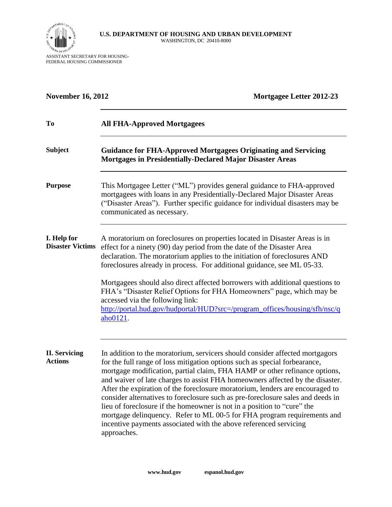

ASSISTANT SECRETARY FOR HOUSING-FEDERAL HOUSING COMMISSIONER

| <b>November 16, 2012</b>               | <b>Mortgagee Letter 2012-23</b>                                                                                                                                                                                                                                                                                                                                                                                                                                                                                                                                                                                                                                                                                                         |
|----------------------------------------|-----------------------------------------------------------------------------------------------------------------------------------------------------------------------------------------------------------------------------------------------------------------------------------------------------------------------------------------------------------------------------------------------------------------------------------------------------------------------------------------------------------------------------------------------------------------------------------------------------------------------------------------------------------------------------------------------------------------------------------------|
| To                                     | <b>All FHA-Approved Mortgagees</b>                                                                                                                                                                                                                                                                                                                                                                                                                                                                                                                                                                                                                                                                                                      |
| <b>Subject</b>                         | <b>Guidance for FHA-Approved Mortgagees Originating and Servicing</b><br>Mortgages in Presidentially-Declared Major Disaster Areas                                                                                                                                                                                                                                                                                                                                                                                                                                                                                                                                                                                                      |
| <b>Purpose</b>                         | This Mortgagee Letter ("ML") provides general guidance to FHA-approved<br>mortgagees with loans in any Presidentially-Declared Major Disaster Areas<br>("Disaster Areas"). Further specific guidance for individual disasters may be<br>communicated as necessary.                                                                                                                                                                                                                                                                                                                                                                                                                                                                      |
| I. Help for<br><b>Disaster Victims</b> | A moratorium on foreclosures on properties located in Disaster Areas is in<br>effect for a ninety (90) day period from the date of the Disaster Area<br>declaration. The moratorium applies to the initiation of foreclosures AND<br>foreclosures already in process. For additional guidance, see ML 05-33.<br>Mortgagees should also direct affected borrowers with additional questions to                                                                                                                                                                                                                                                                                                                                           |
|                                        | FHA's "Disaster Relief Options for FHA Homeowners" page, which may be<br>accessed via the following link:<br>http://portal.hud.gov/hudportal/HUD?src=/program_offices/housing/sfh/nsc/q<br>aho0121.                                                                                                                                                                                                                                                                                                                                                                                                                                                                                                                                     |
| <b>II. Servicing</b><br><b>Actions</b> | In addition to the moratorium, servicers should consider affected mortgagors<br>for the full range of loss mitigation options such as special forbearance,<br>mortgage modification, partial claim, FHA HAMP or other refinance options,<br>and waiver of late charges to assist FHA homeowners affected by the disaster.<br>After the expiration of the foreclosure moratorium, lenders are encouraged to<br>consider alternatives to foreclosure such as pre-foreclosure sales and deeds in<br>lieu of foreclosure if the homeowner is not in a position to "cure" the<br>mortgage delinquency. Refer to ML 00-5 for FHA program requirements and<br>incentive payments associated with the above referenced servicing<br>approaches. |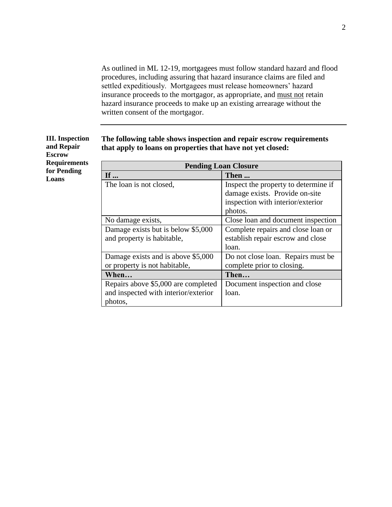As outlined in ML 12-19, mortgagees must follow standard hazard and flood procedures, including assuring that hazard insurance claims are filed and settled expeditiously. Mortgagees must release homeowners' hazard insurance proceeds to the mortgagor, as appropriate, and must not retain hazard insurance proceeds to make up an existing arrearage without the written consent of the mortgagor.

| <b>Pending Loan Closure</b>          |                                      |  |
|--------------------------------------|--------------------------------------|--|
| If $\ldots$                          | Then                                 |  |
| The loan is not closed,              | Inspect the property to determine if |  |
|                                      | damage exists. Provide on-site       |  |
|                                      | inspection with interior/exterior    |  |
|                                      | photos.                              |  |
| No damage exists,                    | Close loan and document inspection   |  |
| Damage exists but is below \$5,000   | Complete repairs and close loan or   |  |
| and property is habitable,           | establish repair escrow and close    |  |
|                                      | loan.                                |  |
| Damage exists and is above \$5,000   | Do not close loan. Repairs must be   |  |
| or property is not habitable,        | complete prior to closing.           |  |
| When                                 | Then                                 |  |
| Repairs above \$5,000 are completed  | Document inspection and close        |  |
| and inspected with interior/exterior | loan.                                |  |
| photos,                              |                                      |  |

**The following table shows inspection and repair escrow requirements that apply to loans on properties that have not yet closed:**

## **III. Inspection and Repair Escrow Requirements for Pending Loans**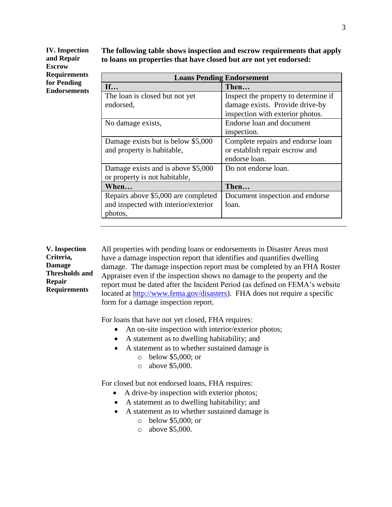**IV. Inspection and Repair Escrow Requirements for Pending Endorsements** **The following table shows inspection and escrow requirements that apply to loans on properties that have closed but are not yet endorsed:**

| <b>Loans Pending Endorsement</b>     |  |  |  |
|--------------------------------------|--|--|--|
| Then                                 |  |  |  |
| Inspect the property to determine if |  |  |  |
| damage exists. Provide drive-by      |  |  |  |
| inspection with exterior photos.     |  |  |  |
| Endorse loan and document            |  |  |  |
| inspection.                          |  |  |  |
| Complete repairs and endorse loan    |  |  |  |
| or establish repair escrow and       |  |  |  |
| endorse loan.                        |  |  |  |
| Do not endorse loan.                 |  |  |  |
|                                      |  |  |  |
| Then                                 |  |  |  |
| Document inspection and endorse      |  |  |  |
| loan.                                |  |  |  |
|                                      |  |  |  |
|                                      |  |  |  |

## **V. Inspection Criteria, Damage Thresholds and Repair Requirements**

All properties with pending loans or endorsements in Disaster Areas must have a damage inspection report that identifies and quantifies dwelling damage. The damage inspection report must be completed by an FHA Roster Appraiser even if the inspection shows no damage to the property and the report must be dated after the Incident Period (as defined on FEMA's website located at [http://www.fema.gov/disasters\)](http://www.fema.gov/disasters). FHA does not require a specific form for a damage inspection report.

For loans that have not yet closed, FHA requires:

- An on-site inspection with interior/exterior photos;
- A statement as to dwelling habitability; and
- A statement as to whether sustained damage is
	- o below \$5,000; or
	- o above \$5,000.

For closed but not endorsed loans, FHA requires:

- A drive-by inspection with exterior photos;
- A statement as to dwelling habitability; and
- A statement as to whether sustained damage is
	- o below \$5,000; or
	- o above \$5,000.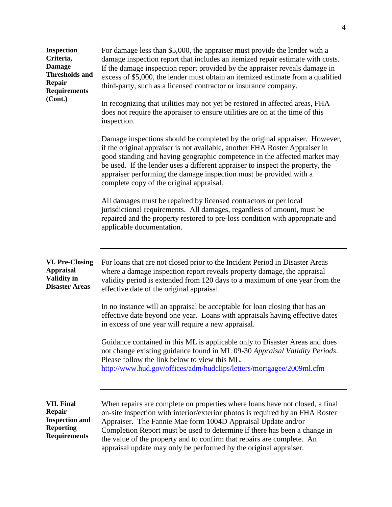| <b>Inspection</b><br>Criteria,<br><b>Damage</b><br><b>Thresholds and</b><br><b>Repair</b><br><b>Requirements</b><br>(Cont.) | For damage less than \$5,000, the appraiser must provide the lender with a<br>damage inspection report that includes an itemized repair estimate with costs.<br>If the damage inspection report provided by the appraiser reveals damage in<br>excess of \$5,000, the lender must obtain an itemized estimate from a qualified<br>third-party, such as a licensed contractor or insurance company.<br>In recognizing that utilities may not yet be restored in affected areas, FHA<br>does not require the appraiser to ensure utilities are on at the time of this<br>inspection.<br>Damage inspections should be completed by the original appraiser. However,<br>if the original appraiser is not available, another FHA Roster Appraiser in<br>good standing and having geographic competence in the affected market may<br>be used. If the lender uses a different appraiser to inspect the property, the<br>appraiser performing the damage inspection must be provided with a<br>complete copy of the original appraisal.<br>All damages must be repaired by licensed contractors or per local<br>jurisdictional requirements. All damages, regardless of amount, must be<br>repaired and the property restored to pre-loss condition with appropriate and<br>applicable documentation. |
|-----------------------------------------------------------------------------------------------------------------------------|------------------------------------------------------------------------------------------------------------------------------------------------------------------------------------------------------------------------------------------------------------------------------------------------------------------------------------------------------------------------------------------------------------------------------------------------------------------------------------------------------------------------------------------------------------------------------------------------------------------------------------------------------------------------------------------------------------------------------------------------------------------------------------------------------------------------------------------------------------------------------------------------------------------------------------------------------------------------------------------------------------------------------------------------------------------------------------------------------------------------------------------------------------------------------------------------------------------------------------------------------------------------------------------------|
| <b>VI. Pre-Closing</b><br><b>Appraisal</b><br><b>Validity in</b><br><b>Disaster Areas</b>                                   | For loans that are not closed prior to the Incident Period in Disaster Areas<br>where a damage inspection report reveals property damage, the appraisal<br>validity period is extended from 120 days to a maximum of one year from the<br>effective date of the original appraisal.<br>In no instance will an appraisal be acceptable for loan closing that has an<br>effective date beyond one year. Loans with appraisals having effective dates<br>in excess of one year will require a new appraisal.<br>Guidance contained in this ML is applicable only to Disaster Areas and does<br>not change existing guidance found in ML 09-30 Appraisal Validity Periods.<br>Please follow the link below to view this ML.<br>http://www.hud.gov/offices/adm/hudclips/letters/mortgagee/2009ml.cfm                                                                                                                                                                                                                                                                                                                                                                                                                                                                                                |
| <b>VII. Final</b><br><b>Repair</b><br><b>Inspection and</b><br><b>Reporting</b><br><b>Requirements</b>                      | When repairs are complete on properties where loans have not closed, a final<br>on-site inspection with interior/exterior photos is required by an FHA Roster<br>Appraiser. The Fannie Mae form 1004D Appraisal Update and/or<br>Completion Report must be used to determine if there has been a change in<br>the value of the property and to confirm that repairs are complete. An<br>appraisal update may only be performed by the original appraiser.                                                                                                                                                                                                                                                                                                                                                                                                                                                                                                                                                                                                                                                                                                                                                                                                                                      |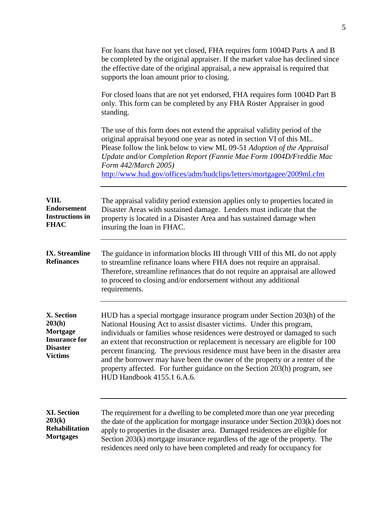|                                                                                               | For loans that have not yet closed, FHA requires form 1004D Parts A and B<br>be completed by the original appraiser. If the market value has declined since<br>the effective date of the original appraisal, a new appraisal is required that<br>supports the loan amount prior to closing.                                                                                                                                                                                                                                                                                                  |
|-----------------------------------------------------------------------------------------------|----------------------------------------------------------------------------------------------------------------------------------------------------------------------------------------------------------------------------------------------------------------------------------------------------------------------------------------------------------------------------------------------------------------------------------------------------------------------------------------------------------------------------------------------------------------------------------------------|
|                                                                                               | For closed loans that are not yet endorsed, FHA requires form 1004D Part B<br>only. This form can be completed by any FHA Roster Appraiser in good<br>standing.                                                                                                                                                                                                                                                                                                                                                                                                                              |
|                                                                                               | The use of this form does not extend the appraisal validity period of the<br>original appraisal beyond one year as noted in section VI of this ML.<br>Please follow the link below to view ML 09-51 Adoption of the Appraisal<br>Update and/or Completion Report (Fannie Mae Form 1004D/Freddie Mac<br>Form 442/March 2005)<br>http://www.hud.gov/offices/adm/hudclips/letters/mortgagee/2009ml.cfm                                                                                                                                                                                          |
| VIII.<br><b>Endorsement</b><br><b>Instructions in</b><br><b>FHAC</b>                          | The appraisal validity period extension applies only to properties located in<br>Disaster Areas with sustained damage. Lenders must indicate that the<br>property is located in a Disaster Area and has sustained damage when<br>insuring the loan in FHAC.                                                                                                                                                                                                                                                                                                                                  |
| <b>IX.</b> Streamline<br><b>Refinances</b>                                                    | The guidance in information blocks III through VIII of this ML do not apply<br>to streamline refinance loans where FHA does not require an appraisal.<br>Therefore, streamline refinances that do not require an appraisal are allowed<br>to proceed to closing and/or endorsement without any additional<br>requirements.                                                                                                                                                                                                                                                                   |
| X. Section<br>203(h)<br>Mortgage<br><b>Insurance for</b><br><b>Disaster</b><br><b>Victims</b> | HUD has a special mortgage insurance program under Section 203(h) of the<br>National Housing Act to assist disaster victims. Under this program,<br>individuals or families whose residences were destroyed or damaged to such<br>an extent that reconstruction or replacement is necessary are eligible for 100<br>percent financing. The previous residence must have been in the disaster area<br>and the borrower may have been the owner of the property or a renter of the<br>property affected. For further guidance on the Section 203(h) program, see<br>HUD Handbook 4155.1 6.A.6. |
| <b>XI. Section</b><br>203(k)<br><b>Rehabilitation</b><br><b>Mortgages</b>                     | The requirement for a dwelling to be completed more than one year preceding<br>the date of the application for mortgage insurance under Section 203(k) does not<br>apply to properties in the disaster area. Damaged residences are eligible for<br>Section 203(k) mortgage insurance regardless of the age of the property. The<br>residences need only to have been completed and ready for occupancy for                                                                                                                                                                                  |